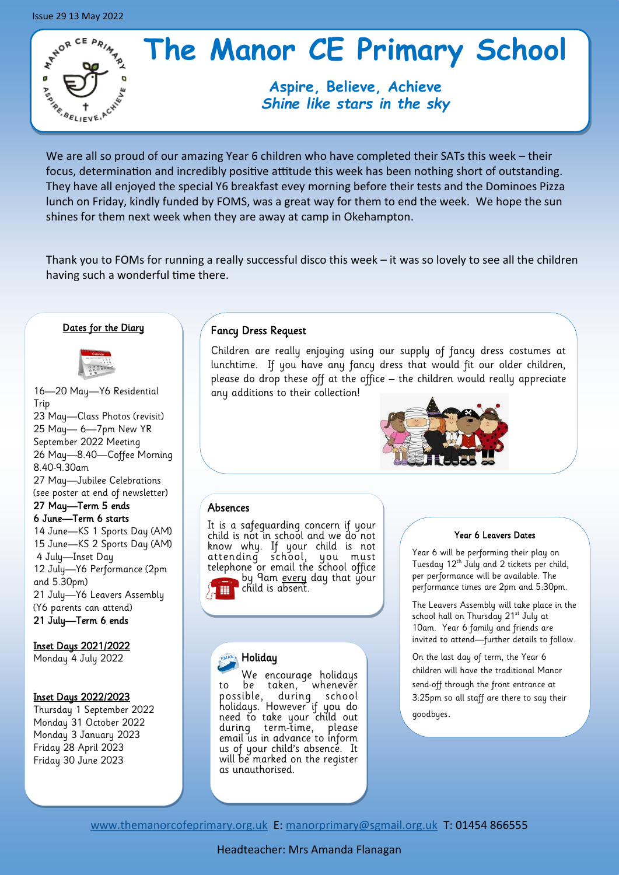

# **The Manor CE Primary School**

# **Aspire, Believe, Achieve** *Shine like stars in the sky*

We are all so proud of our amazing Year 6 children who have completed their SATs this week – their focus, determination and incredibly positive attitude this week has been nothing short of outstanding. They have all enjoyed the special Y6 breakfast evey morning before their tests and the Dominoes Pizza lunch on Friday, kindly funded by FOMS, was a great way for them to end the week. We hope the sun shines for them next week when they are away at camp in Okehampton.

Thank you to FOMs for running a really successful disco this week – it was so lovely to see all the children having such a wonderful time there.

## Dates for the Diary



16—20 May—Y6 Residential Trip 23 May—Class Photos (revisit) 25 May— 6—7pm New YR September 2022 Meeting 26 May—8.40—Coffee Morning 8.40-9.30am 27 May—Jubilee Celebrations (see poster at end of newsletter) 27 May—Term 5 ends 6 June—Term 6 starts 14 June—KS 1 Sports Day (AM) 15 June—KS 2 Sports Day (AM) 4 July—Inset Day 12 July—Y6 Performance (2pm and 5.30pm) 21 July—Y6 Leavers Assembly (Y6 parents can attend) 21 July—Term 6 ends

### Inset Days 2021/2022

Monday 4 July 2022

## Inset Days 2022/2023

Thursday 1 September 2022 Monday 31 October 2022 Monday 3 January 2023 Friday 28 April 2023 Friday 30 June 2023

## Fancy Dress Request

Children are really enjoying using our supply of fancy dress costumes at lunchtime. If you have any fancy dress that would fit our older children, please do drop these off at the office – the children would really appreciate any additions to their collection!



## Absences

It is a safeguarding concern if your child is not in school and we do not know why. If your child is not attending school, you must telephone or email the school office by 9am <u>every</u> day that your child is absent. m

## Holiday

We encourage holidays to be taken, whenever possible, during school holidays. However if you do need to take your child out during term-time, please email us in advance to inform us of your child's absence. It will be marked on the register as unauthorised.

#### Year 6 Leavers Dates

Year 6 will be performing their play on Tuesday 12<sup>th</sup> July and 2 tickets per child, per performance will be available. The performance times are 2pm and 5:30pm.

The Leavers Assembly will take place in the school hall on Thursday 21<sup>st</sup> July at 10am. Year 6 family and friends are invited to attend—further details to follow.

On the last day of term, the Year 6 children will have the traditional Manor send-off through the front entrance at 3:25pm so all staff are there to say their goodbyes.

[www.themanorcofeprimary.org.uk](http://www.manorcofeprimary.org.uk) E: [manorprimary@sgmail.org.uk](mailto:manorprimary@sgmail.org.uk) T: 01454 866555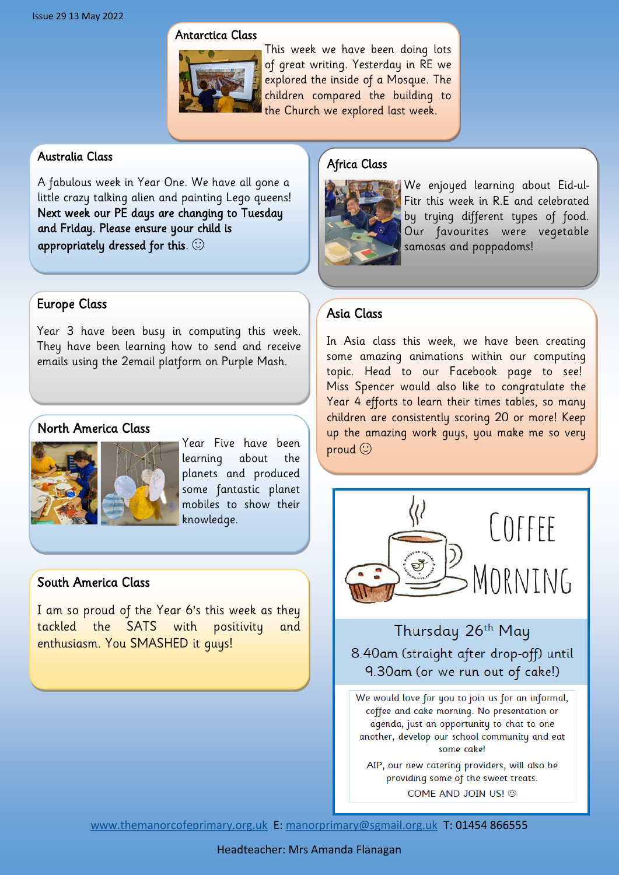## Antarctica Class



This week we have been doing lots of great writing. Yesterday in RE we explored the inside of a Mosque. The children compared the building to the Church we explored last week.

## Australia Class

A fabulous week in Year One. We have all gone a little crazy talking alien and painting Lego queens! Next week our PE days are changing to Tuesday and Friday. Please ensure your child is appropriately dressed for this.  $\odot$ 

# Europe Class

Year 3 have been busy in computing this week. They have been learning how to send and receive emails using the 2email platform on Purple Mash.

# North America Class



Year Five have been learning about the planets and produced some fantastic planet mobiles to show their knowledge.

# South America Class

I am so proud of the Year 6's this week as they tackled the SATS with positivity and enthusiasm. You SMASHED it guys!

# Africa Class



We enjoyed learning about Eid-ul-Fitr this week in R.E and celebrated by trying different types of food. Our favourites were vegetable samosas and poppadoms!

# Asia Class

In Asia class this week, we have been creating some amazing animations within our computing topic. Head to our Facebook page to see! Miss Spencer would also like to congratulate the Year 4 efforts to learn their times tables, so many children are consistently scoring 20 or more! Keep up the amazing work guys, you make me so very proud  $\odot$ 



Thursday 26th May 8.40am (straight after drop-off) until 9.30am (or we run out of cake!)

We would love for you to join us for an informal, coffee and cake morning. No presentation or agenda, just an opportunity to chat to one another, develop our school community and eat some cake!

AIP, our new catering providers, will also be providing some of the sweet treats. COME AND JOIN US! @